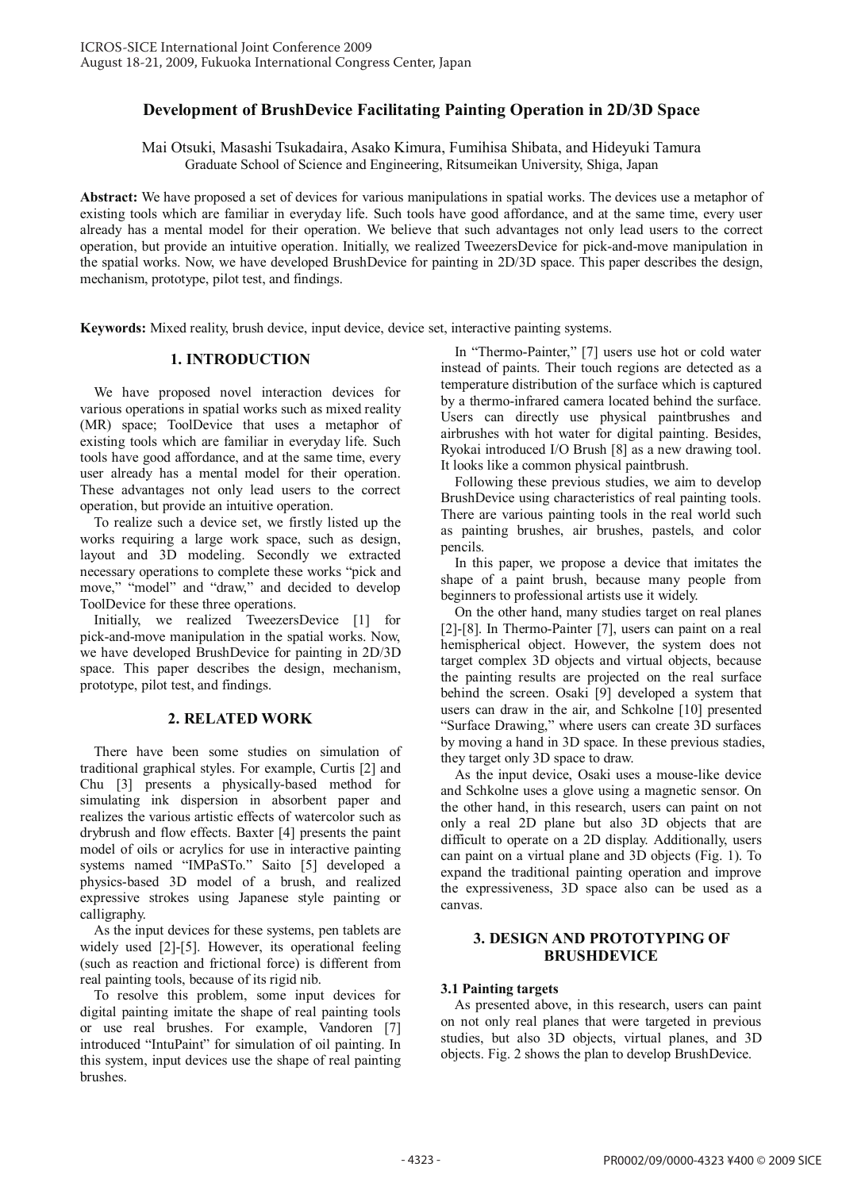# **Development of BrushDevice Facilitating Painting Operation in 2D/3D Space**

Mai Otsuki, Masashi Tsukadaira, Asako Kimura, Fumihisa Shibata, and Hideyuki Tamura Graduate School of Science and Engineering, Ritsumeikan University, Shiga, Japan

**Abstract:** We have proposed a set of devices for various manipulations in spatial works. The devices use a metaphor of existing tools which are familiar in everyday life. Such tools have good affordance, and at the same time, every user already has a mental model for their operation. We believe that such advantages not only lead users to the correct operation, but provide an intuitive operation. Initially, we realized TweezersDevice for pick-and-move manipulation in the spatial works. Now, we have developed BrushDevice for painting in 2D/3D space. This paper describes the design, mechanism, prototype, pilot test, and findings.

**Keywords:** Mixed reality, brush device, input device, device set, interactive painting systems.

# **1. INTRODUCTION**

We have proposed novel interaction devices for various operations in spatial works such as mixed reality (MR) space; ToolDevice that uses a metaphor of existing tools which are familiar in everyday life. Such tools have good affordance, and at the same time, every user already has a mental model for their operation. These advantages not only lead users to the correct operation, but provide an intuitive operation.

To realize such a device set, we firstly listed up the works requiring a large work space, such as design, layout and 3D modeling. Secondly we extracted necessary operations to complete these works "pick and move," "model" and "draw," and decided to develop ToolDevice for these three operations.

Initially, we realized TweezersDevice [1] for pick-and-move manipulation in the spatial works. Now, we have developed BrushDevice for painting in 2D/3D space. This paper describes the design, mechanism, prototype, pilot test, and findings.

# **2. RELATED WORK**

There have been some studies on simulation of traditional graphical styles. For example, Curtis [2] and Chu [3] presents a physically-based method for simulating ink dispersion in absorbent paper and realizes the various artistic effects of watercolor such as drybrush and flow effects. Baxter [4] presents the paint model of oils or acrylics for use in interactive painting systems named "IMPaSTo." Saito [5] developed a physics-based 3D model of a brush, and realized expressive strokes using Japanese style painting or calligraphy.

As the input devices for these systems, pen tablets are widely used [2]-[5]. However, its operational feeling (such as reaction and frictional force) is different from real painting tools, because of its rigid nib.

To resolve this problem, some input devices for digital painting imitate the shape of real painting tools or use real brushes. For example, Vandoren [7] introduced "IntuPaint" for simulation of oil painting. In this system, input devices use the shape of real painting brushes.

In "Thermo-Painter," [7] users use hot or cold water instead of paints. Their touch regions are detected as a temperature distribution of the surface which is captured by a thermo-infrared camera located behind the surface. Users can directly use physical paintbrushes and airbrushes with hot water for digital painting. Besides, Ryokai introduced I/O Brush [8] as a new drawing tool. It looks like a common physical paintbrush.

Following these previous studies, we aim to develop BrushDevice using characteristics of real painting tools. There are various painting tools in the real world such as painting brushes, air brushes, pastels, and color pencils.

In this paper, we propose a device that imitates the shape of a paint brush, because many people from beginners to professional artists use it widely.

On the other hand, many studies target on real planes [2]-[8]. In Thermo-Painter [7], users can paint on a real hemispherical object. However, the system does not target complex 3D objects and virtual objects, because the painting results are projected on the real surface behind the screen. Osaki [9] developed a system that users can draw in the air, and Schkolne [10] presented "Surface Drawing," where users can create 3D surfaces by moving a hand in 3D space. In these previous stadies, they target only 3D space to draw.

As the input device, Osaki uses a mouse-like device and Schkolne uses a glove using a magnetic sensor. On the other hand, in this research, users can paint on not only a real 2D plane but also 3D objects that are difficult to operate on a 2D display. Additionally, users can paint on a virtual plane and 3D objects (Fig. 1). To expand the traditional painting operation and improve the expressiveness, 3D space also can be used as a canvas.

# **3. DESIGN AND PROTOTYPING OF BRUSHDEVICE**

# **3.1 Painting targets**

As presented above, in this research, users can paint on not only real planes that were targeted in previous studies, but also 3D objects, virtual planes, and 3D objects. Fig. 2 shows the plan to develop BrushDevice.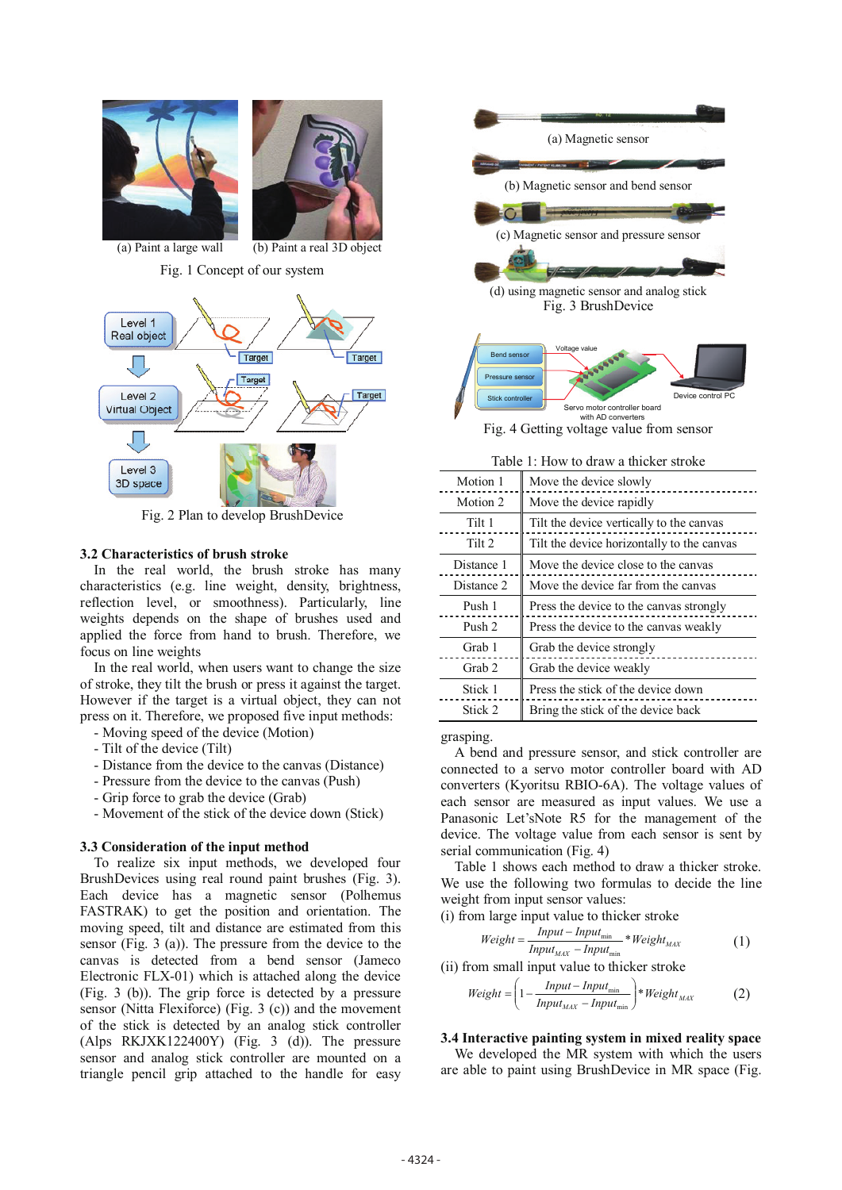

Fig. 2 Plan to develop BrushDevice

# **3.2 Characteristics of brush stroke**

In the real world, the brush stroke has many characteristics (e.g. line weight, density, brightness, reflection level, or smoothness). Particularly, line weights depends on the shape of brushes used and applied the force from hand to brush. Therefore, we focus on line weights

In the real world, when users want to change the size of stroke, they tilt the brush or press it against the target. However if the target is a virtual object, they can not press on it. Therefore, we proposed five input methods:

- Moving speed of the device (Motion)
- Tilt of the device (Tilt)
- Distance from the device to the canvas (Distance)
- Pressure from the device to the canvas (Push)
- Grip force to grab the device (Grab)
- Movement of the stick of the device down (Stick)

#### **3.3 Consideration of the input method**

To realize six input methods, we developed four BrushDevices using real round paint brushes (Fig. 3). Each device has a magnetic sensor (Polhemus FASTRAK) to get the position and orientation. The moving speed, tilt and distance are estimated from this sensor (Fig. 3 (a)). The pressure from the device to the canvas is detected from a bend sensor (Jameco Electronic FLX-01) which is attached along the device (Fig. 3 (b)). The grip force is detected by a pressure sensor (Nitta Flexiforce) (Fig. 3 (c)) and the movement of the stick is detected by an analog stick controller (Alps RKJXK122400Y) (Fig. 3 (d)). The pressure sensor and analog stick controller are mounted on a triangle pencil grip attached to the handle for easy



| 1.110 www.uruwa.unokersupko |                                            |
|-----------------------------|--------------------------------------------|
| Motion 1                    | Move the device slowly                     |
| Motion 2                    | Move the device rapidly                    |
| Tilt 1                      | Tilt the device vertically to the canvas   |
| Tilt 2                      | Tilt the device horizontally to the canvas |
| Distance 1                  | Move the device close to the canvas        |
| Distance 2                  | Move the device far from the canvas        |
| Push 1                      | Press the device to the canvas strongly    |
| Push 2                      | Press the device to the canvas weakly      |
| Grab 1                      | Grab the device strongly                   |
| Grab <sub>2</sub>           | Grab the device weakly                     |
| Stick 1                     | Press the stick of the device down         |
| Stick 2                     | Bring the stick of the device back         |

grasping.

A bend and pressure sensor, and stick controller are connected to a servo motor controller board with AD converters (Kyoritsu RBIO-6A). The voltage values of each sensor are measured as input values. We use a Panasonic Let'sNote R5 for the management of the device. The voltage value from each sensor is sent by serial communication (Fig. 4)

Table 1 shows each method to draw a thicker stroke. We use the following two formulas to decide the line weight from input sensor values:

(i) from large input value to thicker stroke

$$
Weight = \frac{Input - Input_{min}}{Input_{MAX} - Input_{min}} * Weight_{MAX}
$$
 (1)

(ii) from small input value to thicker stroke

$$
Weight = \left(1 - \frac{Input - Input_{\min}}{Input_{MAX} - Input_{\min}}\right) * Weight_{MAX} \tag{2}
$$

### **3.4 Interactive painting system in mixed reality space**

We developed the MR system with which the users are able to paint using BrushDevice in MR space (Fig.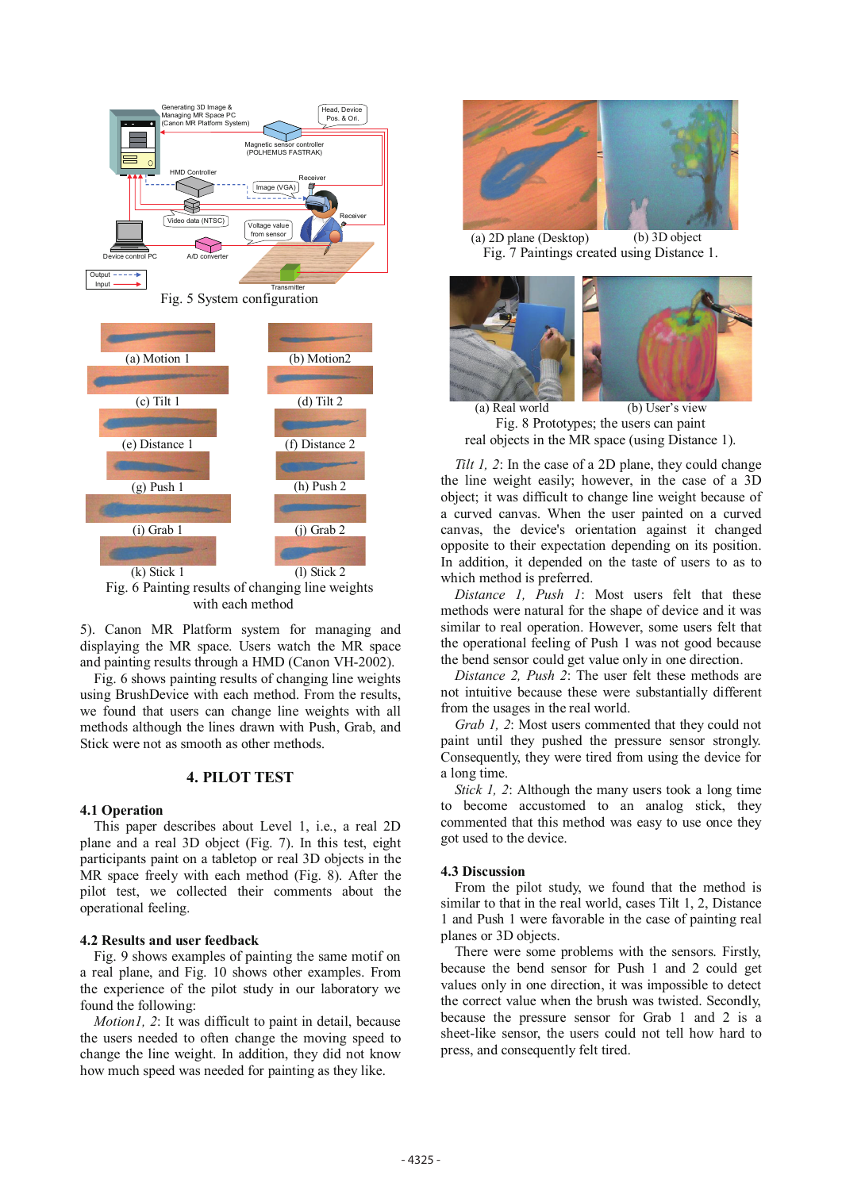

Fig. 5 System configuration



Fig. 6 Painting results of changing line weights with each method

5). Canon MR Platform system for managing and displaying the MR space. Users watch the MR space and painting results through a HMD (Canon VH-2002).

Fig. 6 shows painting results of changing line weights using BrushDevice with each method. From the results, we found that users can change line weights with all methods although the lines drawn with Push, Grab, and Stick were not as smooth as other methods.

#### **4. PILOT TEST**

#### **4.1 Operation**

This paper describes about Level 1, i.e., a real 2D plane and a real 3D object (Fig. 7). In this test, eight participants paint on a tabletop or real 3D objects in the MR space freely with each method (Fig. 8). After the pilot test, we collected their comments about the operational feeling.

#### **4.2 Results and user feedback**

Fig. 9 shows examples of painting the same motif on a real plane, and Fig. 10 shows other examples. From the experience of the pilot study in our laboratory we found the following:

*Motion1, 2*: It was difficult to paint in detail, because the users needed to often change the moving speed to change the line weight. In addition, they did not know how much speed was needed for painting as they like.



(a) 2D plane (Desktop) (b) 3D object Fig. 7 Paintings created using Distance 1.

(a) Real world (b) User's view Fig. 8 Prototypes; the users can paint real objects in the MR space (using Distance 1).

*Tilt 1, 2*: In the case of a 2D plane, they could change the line weight easily; however, in the case of a 3D object; it was difficult to change line weight because of a curved canvas. When the user painted on a curved canvas, the device's orientation against it changed opposite to their expectation depending on its position. In addition, it depended on the taste of users to as to which method is preferred.

*Distance 1, Push 1*: Most users felt that these methods were natural for the shape of device and it was similar to real operation. However, some users felt that the operational feeling of Push 1 was not good because the bend sensor could get value only in one direction.

*Distance 2, Push 2*: The user felt these methods are not intuitive because these were substantially different from the usages in the real world.

*Grab 1, 2*: Most users commented that they could not paint until they pushed the pressure sensor strongly. Consequently, they were tired from using the device for a long time.

*Stick 1, 2*: Although the many users took a long time to become accustomed to an analog stick, they commented that this method was easy to use once they got used to the device.

#### **4.3 Discussion**

From the pilot study, we found that the method is similar to that in the real world, cases Tilt 1, 2, Distance 1 and Push 1 were favorable in the case of painting real planes or 3D objects.

There were some problems with the sensors. Firstly, because the bend sensor for Push 1 and 2 could get values only in one direction, it was impossible to detect the correct value when the brush was twisted. Secondly, because the pressure sensor for Grab 1 and 2 is a sheet-like sensor, the users could not tell how hard to press, and consequently felt tired.